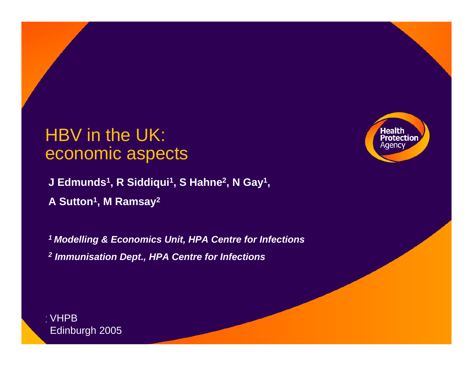# HBV in the UK: economic aspects

**J Edmunds1, R Siddiqui1, S Hahne2, N Gay1, A Sutton1, M Ramsay2**

*1 Modelling & Economics Unit, HPA Centre for Infections 2 Immunisation Dept., HPA Centre for Infections*



 $\sim$  VHPB  $\sim$   $\sim$ Edinburgh 2005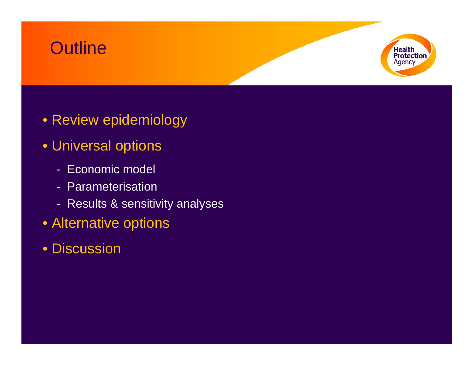# **Outline**



- Review epidemiology
- Universal options
	- Economic model
	- Parameterisation
	- Results & sensitivity analyses
- Alternative options
- Discussion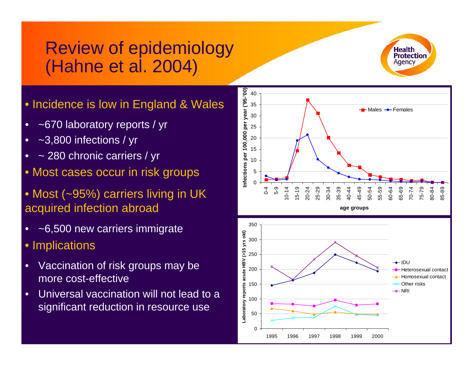# Review of epidemiology (Hahne et al. 2004)

- Incidence is low in England & Wales<br>• ~670 laboratory reports / yr
- •~670 laboratory reports / yr
- •~3,800 infections / yr
- •~ 280 chronic carriers / yr
- Most cases occur in risk groups
- Most (~95%) carriers living in UK acquired infection abroad
- •~6,500 new carriers immigrate
- Implic ations
- •Vaccination of risk groups may be more cost-effective
- •Universal vaccination will not lead to a significant reduction in resource use



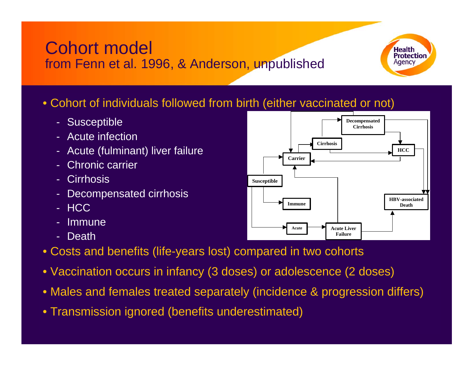Cohort model from Fenn et al. 1996, & Anderson, unpublished

#### • Cohort of individuals followed from birth (either vaccinated or not)

- Susceptible
- Acute infection
- Acute (fulminant) liver failure
- Chronic carrier
- Cirrhosis
- -Decompensated cirrhosis
- HCC
- -Immune
- Death
- Costs and benefits (life-years lost) compared in two cohorts
- Vaccination occurs in infancy (3 doses) or adolescence (2 doses)
- Males and females treated separately (incidence & progression differs)
- Transmission ignored (benefits underestimated)



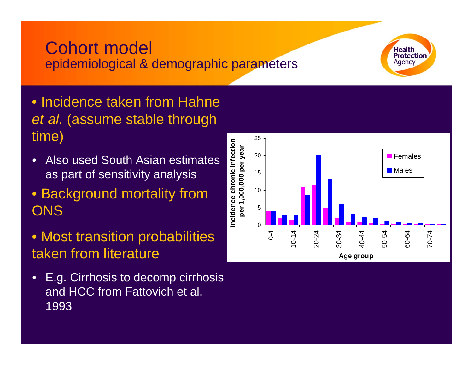### Cohort model epidemiological & demographic parameters



- Incidence taken from Hahne *et al.* (assume stable through time)
- • Also used South Asian estimates as part of sensitivity analysis
- Background mortality from **ONS**
- Most transition probabilities taken from literature
- $\bullet$  E.g. Cirrhosis to decomp cirrhosis and HCC from Fattovich et al. 1993

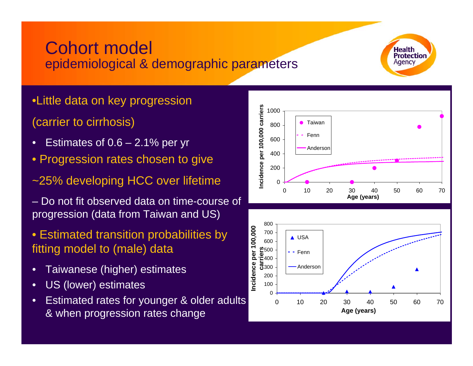### Cohort model epidemiological & demographic parameters



- •Little data on key progression (carrier to cirrhosis)
- •Estimates of 0.6 – 2.1% per yr
- Progression rates chosen to give
- ~25% developing HCC over lifetime
- –Do not fit observed data on time-course of progression (data from Taiwan and US)
- Estimated transition probabilities by fitting model to (male) data
- •Taiwanese (higher) estimates
- •US (lower) estimates
- •Estimated rates for younger & older adults & when progression rates change



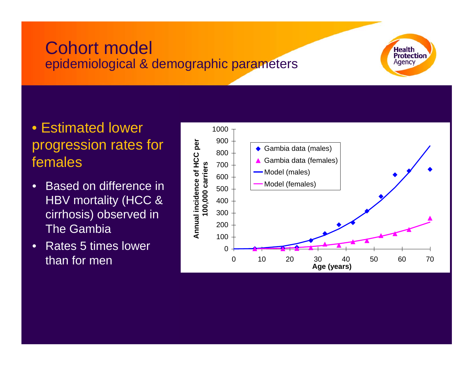# Cohort model epidemiological & demographic parameters



### • Estimated lower progression rates for females

- • Based on difference in HBV mortality (HCC & cirrhosis) observed in The Gambia
- • Rates 5 times lower than for men

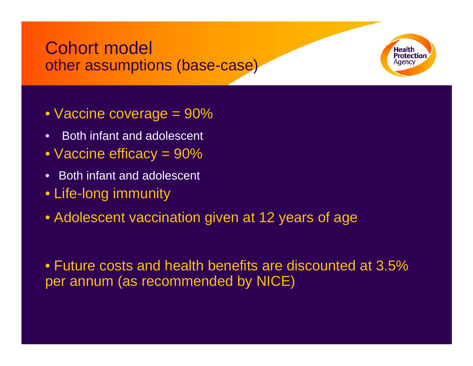# Cohort model other assumptions (base-case)

- Vaccine coverage = 90%
- •Both infant and adolescent
- Vaccine efficacy = 90%
- •Both infant and adolescent
- Life-long immunity
- Adolescent vaccination given at 12 years of age

• Future costs and health benefits are discounted at 3.5% per annum (as recommended by NICE)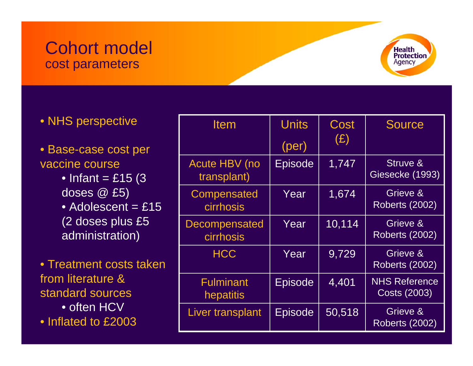### Cohort model cost parameters



• NHS perspective

#### • Base-case cost per vaccine course

- $\bullet$  Infant = £15 (3  $\,$ doses @ £5)
- $\bullet$  Adolescent = £15 (2 doses plus £5 administration)
- Treatment costs taken from literature & standard sources • often HCV

• Inflated to £2003

| <b>Item</b>                         | <b>Units</b><br>(per) | Cost<br>(E) | <b>Source</b>                               |
|-------------------------------------|-----------------------|-------------|---------------------------------------------|
| <b>Acute HBV (no</b><br>transplant) | <b>Episode</b>        | 1,747       | Struve &<br>Giesecke (1993)                 |
| Compensated<br><b>cirrhosis</b>     | Year                  | 1,674       | Grieve &<br><b>Roberts (2002)</b>           |
| <b>Decompensated</b><br>cirrhosis   | Year                  | 10,114      | Grieve &<br><b>Roberts (2002)</b>           |
| <b>HCC</b>                          | Year                  | 9,729       | Grieve &<br><b>Roberts (2002)</b>           |
| <b>Fulminant</b><br>hepatitis       | <b>Episode</b>        | 4,401       | <b>NHS Reference</b><br><b>Costs (2003)</b> |
| Liver transplant                    | <b>Episode</b>        | 50,518      | Grieve &<br><b>Roberts (2002)</b>           |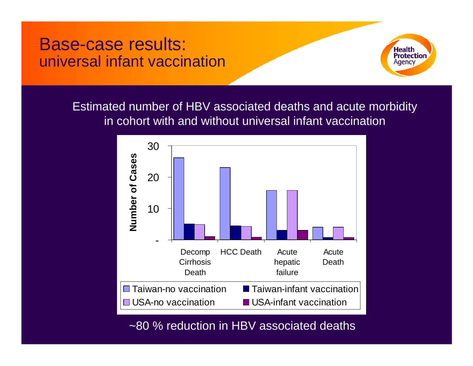# Base-case results: universal infant vaccination



Estimated number of HBV associated deaths and acute morbidity in cohort with and without universal infant vaccination



~80 % reduction in HBV associated deaths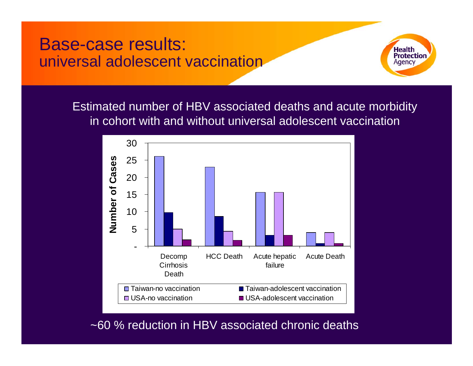Base-case results: universal adolescent vaccination



Estimated number of HBV associated deaths and acute morbidity in cohort with and without universal adolescent vaccination



~60 % reduction in HBV associated chronic deaths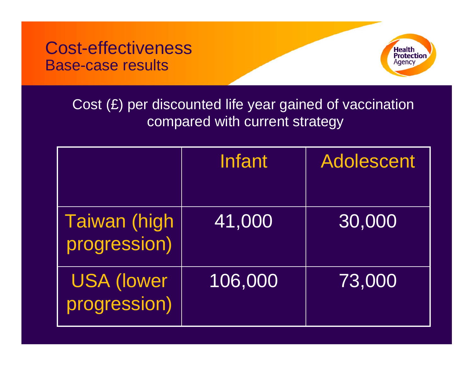Cost-effectiveness Base-case results



#### Cost (£) per discounted life year gained of vaccination compared with current strategy

|                                      | <b>Infant</b> | <b>Adolescent</b> |
|--------------------------------------|---------------|-------------------|
| <b>Taiwan (high)</b><br>progression) | 41,000        | 30,000            |
| <b>USA (lower</b><br>progression)    | 106,000       | 73,000            |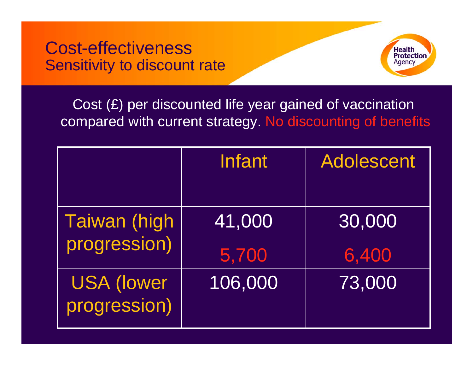Cost-effectiveness Sensitivity to discount rate



### Cost (£) per discounted life year gained of vaccination compared with current strategy. No discounting of benefits

|                                   | Infant  | <b>Adolescent</b> |
|-----------------------------------|---------|-------------------|
|                                   |         |                   |
| <b>Taiwan (high</b>               | 41,000  | 30,000            |
| progression)                      | 5,700   | 6,400             |
| <b>USA (lower</b><br>progression) | 106,000 | 73,000            |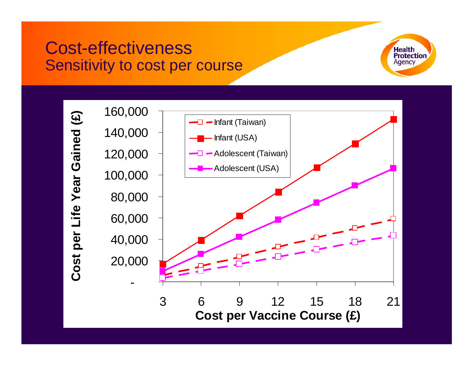# Cost-effectiveness Sensitivity to cost per course



Cost per Life Year Gained (£) **Cost per Life Year Gained (£)**

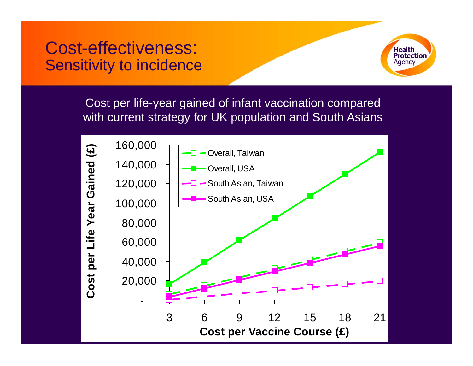# Cost-effectiveness: Sensitivity to incidence



Cost per life-year gained of infant vaccination compared with current strategy for UK population and South Asians

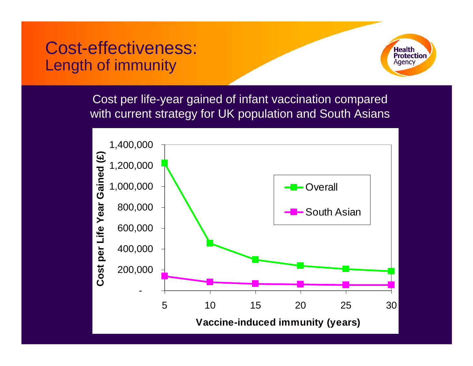# Cost-effectiveness: Length of immunity



Cost per life-year gained of infant vaccination compared with current strategy for UK population and South Asians

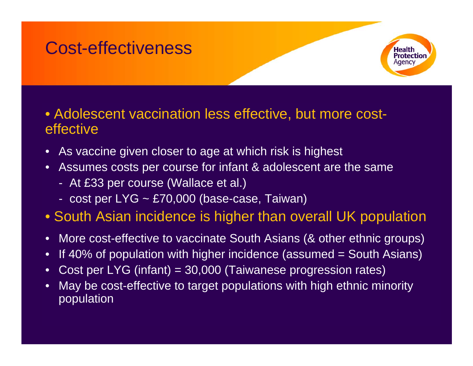# Cost-effectiveness



#### • Adolescent vaccination less effective, but more costeffective

- •As vaccine given closer to age at which risk is highest
- •Assumes costs per course for infant & adolescent are the same
	- At £33 per course (Wallac e et al.)
	- cost per LYG ~ £70,000 (base-case, Taiwan)
- South Asian incidence is higher than overall UK population
- •More cost-effective to vaccinate South Asians (& other ethnic groups)
- $\bullet$ If 40% of population with higher incidence (assumed = South Asians)
- •Cost per LYG (infant) = 30,000 (Taiwanese progression rates)
- •May be cost-effective to target populations with high ethnic minority population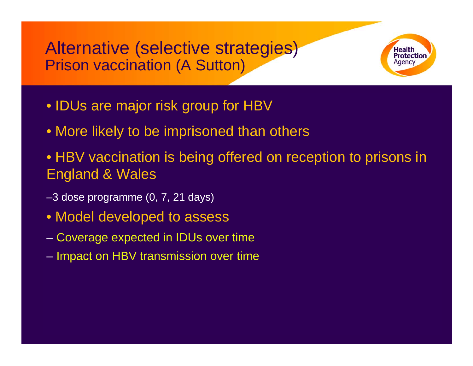Alternative (selective strategies) Prison vaccination (A Sutton)



- IDUs are major risk group for HBV
- More likely to be imprisoned than others
- HBV vaccination is being offered on reception to prisons in England & Wales
- –3 dose programme (0, 7, 21 days)
- Model developed to assess
- Coverage expected in IDUs over time
- – $-$  Impact on HBV transmission over time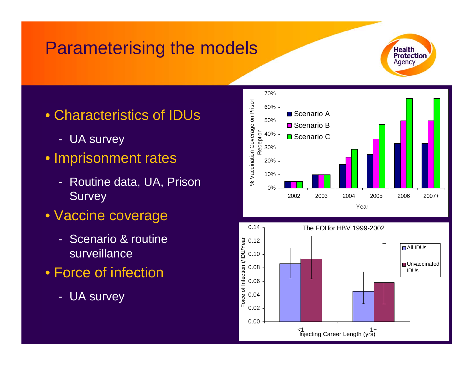# Parameterising the models

- Characteristics of IDUs
	- UA survey
- Imprisonment rates
	- Routine data, UA, Prison **Survey**
- Vaccine coverage
	- Scenario & routine surveillance
- Force of infection
	- UA survey





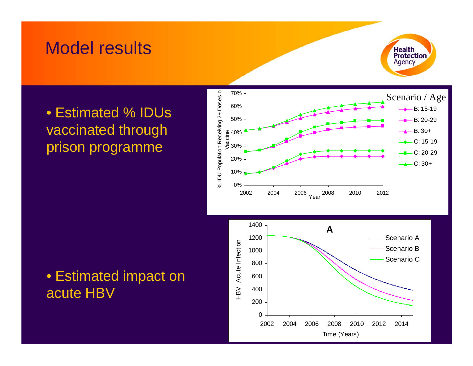# Model results



### • Estimated % IDUs vaccinated through prison programme



#### • Estimated impact on acute HBV